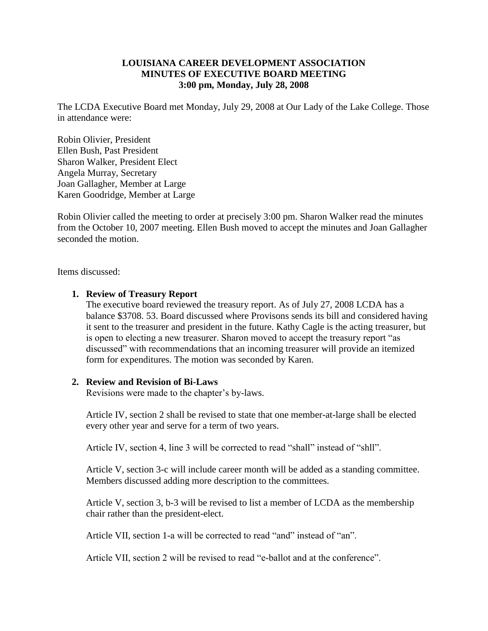## **LOUISIANA CAREER DEVELOPMENT ASSOCIATION MINUTES OF EXECUTIVE BOARD MEETING 3:00 pm, Monday, July 28, 2008**

The LCDA Executive Board met Monday, July 29, 2008 at Our Lady of the Lake College. Those in attendance were:

Robin Olivier, President Ellen Bush, Past President Sharon Walker, President Elect Angela Murray, Secretary Joan Gallagher, Member at Large Karen Goodridge, Member at Large

Robin Olivier called the meeting to order at precisely 3:00 pm. Sharon Walker read the minutes from the October 10, 2007 meeting. Ellen Bush moved to accept the minutes and Joan Gallagher seconded the motion.

Items discussed:

#### **1. Review of Treasury Report**

The executive board reviewed the treasury report. As of July 27, 2008 LCDA has a balance \$3708. 53. Board discussed where Provisons sends its bill and considered having it sent to the treasurer and president in the future. Kathy Cagle is the acting treasurer, but is open to electing a new treasurer. Sharon moved to accept the treasury report "as discussed" with recommendations that an incoming treasurer will provide an itemized form for expenditures. The motion was seconded by Karen.

#### **2. Review and Revision of Bi-Laws**

Revisions were made to the chapter's by-laws.

Article IV, section 2 shall be revised to state that one member-at-large shall be elected every other year and serve for a term of two years.

Article IV, section 4, line 3 will be corrected to read "shall" instead of "shll".

Article V, section 3-c will include career month will be added as a standing committee. Members discussed adding more description to the committees.

Article V, section 3, b-3 will be revised to list a member of LCDA as the membership chair rather than the president-elect.

Article VII, section 1-a will be corrected to read "and" instead of "an".

Article VII, section 2 will be revised to read "e-ballot and at the conference".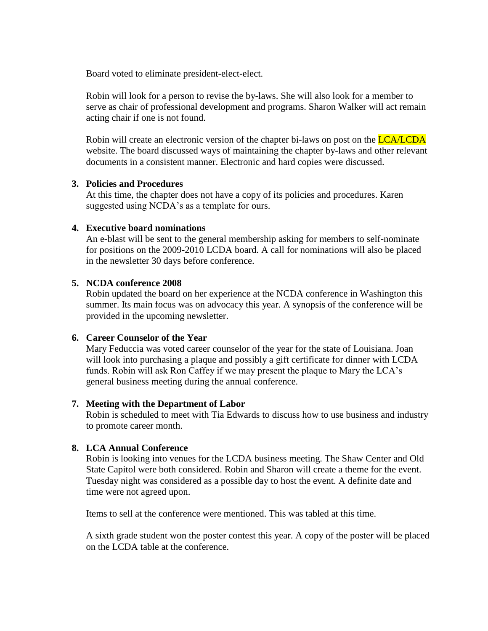Board voted to eliminate president-elect-elect.

Robin will look for a person to revise the by-laws. She will also look for a member to serve as chair of professional development and programs. Sharon Walker will act remain acting chair if one is not found.

Robin will create an electronic version of the chapter bi-laws on post on the **LCA/LCDA** website. The board discussed ways of maintaining the chapter by-laws and other relevant documents in a consistent manner. Electronic and hard copies were discussed.

## **3. Policies and Procedures**

At this time, the chapter does not have a copy of its policies and procedures. Karen suggested using NCDA's as a template for ours.

#### **4. Executive board nominations**

An e-blast will be sent to the general membership asking for members to self-nominate for positions on the 2009-2010 LCDA board. A call for nominations will also be placed in the newsletter 30 days before conference.

## **5. NCDA conference 2008**

Robin updated the board on her experience at the NCDA conference in Washington this summer. Its main focus was on advocacy this year. A synopsis of the conference will be provided in the upcoming newsletter.

## **6. Career Counselor of the Year**

Mary Feduccia was voted career counselor of the year for the state of Louisiana. Joan will look into purchasing a plaque and possibly a gift certificate for dinner with LCDA funds. Robin will ask Ron Caffey if we may present the plaque to Mary the LCA's general business meeting during the annual conference.

#### **7. Meeting with the Department of Labor**

Robin is scheduled to meet with Tia Edwards to discuss how to use business and industry to promote career month.

## **8. LCA Annual Conference**

Robin is looking into venues for the LCDA business meeting. The Shaw Center and Old State Capitol were both considered. Robin and Sharon will create a theme for the event. Tuesday night was considered as a possible day to host the event. A definite date and time were not agreed upon.

Items to sell at the conference were mentioned. This was tabled at this time.

A sixth grade student won the poster contest this year. A copy of the poster will be placed on the LCDA table at the conference.